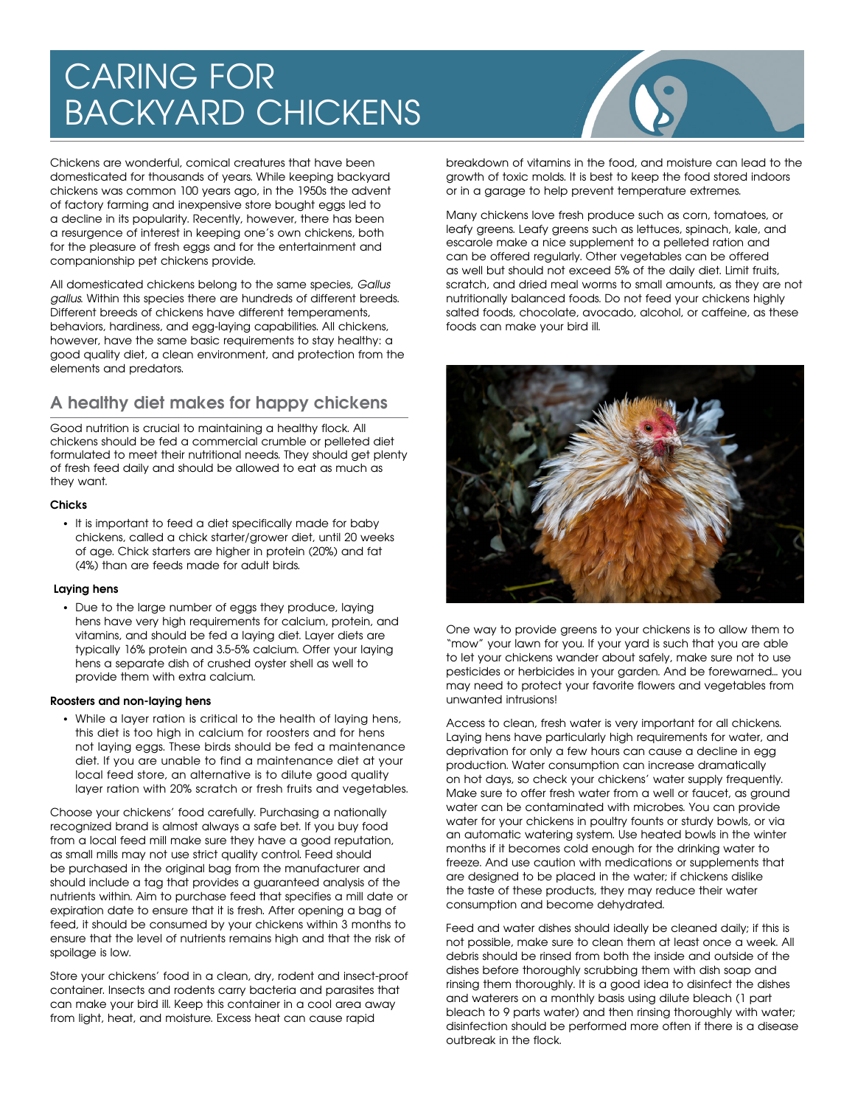# CARING FOR BACKYARD CHICKENS

Chickens are wonderful, comical creatures that have been domesticated for thousands of years. While keeping backyard chickens was common 100 years ago, in the 1950s the advent of factory farming and inexpensive store bought eggs led to a decline in its popularity. Recently, however, there has been a resurgence of interest in keeping one's own chickens, both for the pleasure of fresh eggs and for the entertainment and companionship pet chickens provide.

All domesticated chickens belong to the same species, Gallus gallus. Within this species there are hundreds of different breeds. Different breeds of chickens have different temperaments, behaviors, hardiness, and egg-laying capabilities. All chickens, however, have the same basic requirements to stay healthy: a good quality diet, a clean environment, and protection from the elements and predators.

# **A healthy diet makes for happy chickens**

Good nutrition is crucial to maintaining a healthy flock. All chickens should be fed a commercial crumble or pelleted diet formulated to meet their nutritional needs. They should get plenty of fresh feed daily and should be allowed to eat as much as they want.

#### **Chicks**

• It is important to feed a diet specifically made for baby chickens, called a chick starter/grower diet, until 20 weeks of age. Chick starters are higher in protein (20%) and fat (4%) than are feeds made for adult birds.

#### **Laying hens**

• Due to the large number of eggs they produce, laying hens have very high requirements for calcium, protein, and vitamins, and should be fed a laying diet. Layer diets are typically 16% protein and 3.5-5% calcium. Offer your laying hens a separate dish of crushed oyster shell as well to provide them with extra calcium.

#### **Roosters and non-laying hens**

• While a layer ration is critical to the health of laying hens, this diet is too high in calcium for roosters and for hens not laying eggs. These birds should be fed a maintenance diet. If you are unable to find a maintenance diet at your local feed store, an alternative is to dilute good quality layer ration with 20% scratch or fresh fruits and vegetables.

Choose your chickens' food carefully. Purchasing a nationally recognized brand is almost always a safe bet. If you buy food from a local feed mill make sure they have a good reputation, as small mills may not use strict quality control. Feed should be purchased in the original bag from the manufacturer and should include a tag that provides a guaranteed analysis of the nutrients within. Aim to purchase feed that specifies a mill date or expiration date to ensure that it is fresh. After opening a bag of feed, it should be consumed by your chickens within 3 months to ensure that the level of nutrients remains high and that the risk of spoilage is low.

Store your chickens' food in a clean, dry, rodent and insect-proof container. Insects and rodents carry bacteria and parasites that can make your bird ill. Keep this container in a cool area away from light, heat, and moisture. Excess heat can cause rapid



breakdown of vitamins in the food, and moisture can lead to the growth of toxic molds. It is best to keep the food stored indoors or in a garage to help prevent temperature extremes.

Many chickens love fresh produce such as corn, tomatoes, or leafy greens. Leafy greens such as lettuces, spinach, kale, and escarole make a nice supplement to a pelleted ration and can be offered regularly. Other vegetables can be offered as well but should not exceed 5% of the daily diet. Limit fruits, scratch, and dried meal worms to small amounts, as they are not nutritionally balanced foods. Do not feed your chickens highly salted foods, chocolate, avocado, alcohol, or caffeine, as these foods can make your bird ill.



One way to provide greens to your chickens is to allow them to "mow" your lawn for you. If your yard is such that you are able to let your chickens wander about safely, make sure not to use pesticides or herbicides in your garden. And be forewarned... you may need to protect your favorite flowers and vegetables from unwanted intrusions!

Access to clean, fresh water is very important for all chickens. Laying hens have particularly high requirements for water, and deprivation for only a few hours can cause a decline in egg production. Water consumption can increase dramatically on hot days, so check your chickens' water supply frequently. Make sure to offer fresh water from a well or faucet, as ground water can be contaminated with microbes. You can provide water for your chickens in poultry founts or sturdy bowls, or via an automatic watering system. Use heated bowls in the winter months if it becomes cold enough for the drinking water to freeze. And use caution with medications or supplements that are designed to be placed in the water; if chickens dislike the taste of these products, they may reduce their water consumption and become dehydrated.

Feed and water dishes should ideally be cleaned daily; if this is not possible, make sure to clean them at least once a week. All debris should be rinsed from both the inside and outside of the dishes before thoroughly scrubbing them with dish soap and rinsing them thoroughly. It is a good idea to disinfect the dishes and waterers on a monthly basis using dilute bleach (1 part bleach to 9 parts water) and then rinsing thoroughly with water; disinfection should be performed more often if there is a disease outbreak in the flock.